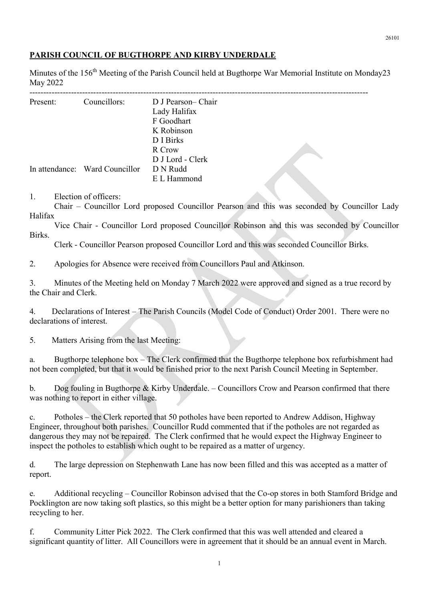## PARISH COUNCIL OF BUGTHORPE AND KIRBY UNDERDALE

Minutes of the 156<sup>th</sup> Meeting of the Parish Council held at Bugthorpe War Memorial Institute on Monday23 May 2022

| Present: | Councillors:                   | D J Pearson-Chair<br>Lady Halifax<br>F Goodhart |  |
|----------|--------------------------------|-------------------------------------------------|--|
|          |                                | K Robinson                                      |  |
|          |                                | D I Birks                                       |  |
|          |                                | R Crow                                          |  |
|          |                                | D J Lord - Clerk                                |  |
|          | In attendance: Ward Councillor | D N Rudd                                        |  |
|          |                                | E L Hammond                                     |  |

1. Election of officers:

 Chair – Councillor Lord proposed Councillor Pearson and this was seconded by Councillor Lady Halifax

 Vice Chair - Councillor Lord proposed Councillor Robinson and this was seconded by Councillor Birks.

Clerk - Councillor Pearson proposed Councillor Lord and this was seconded Councillor Birks.

2. Apologies for Absence were received from Councillors Paul and Atkinson.

3. Minutes of the Meeting held on Monday 7 March 2022 were approved and signed as a true record by the Chair and Clerk.

4. Declarations of Interest – The Parish Councils (Model Code of Conduct) Order 2001. There were no declarations of interest.

5. Matters Arising from the last Meeting:

a. Bugthorpe telephone box – The Clerk confirmed that the Bugthorpe telephone box refurbishment had not been completed, but that it would be finished prior to the next Parish Council Meeting in September.

b. Dog fouling in Bugthorpe & Kirby Underdale. – Councillors Crow and Pearson confirmed that there was nothing to report in either village.

c. Potholes – the Clerk reported that 50 potholes have been reported to Andrew Addison, Highway Engineer, throughout both parishes. Councillor Rudd commented that if the potholes are not regarded as dangerous they may not be repaired. The Clerk confirmed that he would expect the Highway Engineer to inspect the potholes to establish which ought to be repaired as a matter of urgency.

d. The large depression on Stephenwath Lane has now been filled and this was accepted as a matter of report.

e. Additional recycling – Councillor Robinson advised that the Co-op stores in both Stamford Bridge and Pocklington are now taking soft plastics, so this might be a better option for many parishioners than taking recycling to her.

f. Community Litter Pick 2022. The Clerk confirmed that this was well attended and cleared a significant quantity of litter. All Councillors were in agreement that it should be an annual event in March.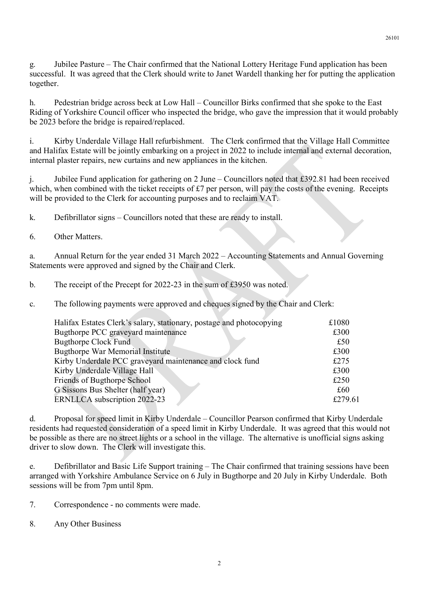g. Jubilee Pasture – The Chair confirmed that the National Lottery Heritage Fund application has been successful. It was agreed that the Clerk should write to Janet Wardell thanking her for putting the application together.

h. Pedestrian bridge across beck at Low Hall – Councillor Birks confirmed that she spoke to the East Riding of Yorkshire Council officer who inspected the bridge, who gave the impression that it would probably be 2023 before the bridge is repaired/replaced.

i. Kirby Underdale Village Hall refurbishment. The Clerk confirmed that the Village Hall Committee and Halifax Estate will be jointly embarking on a project in 2022 to include internal and external decoration, internal plaster repairs, new curtains and new appliances in the kitchen.

j. Jubilee Fund application for gathering on 2 June – Councillors noted that £392.81 had been received which, when combined with the ticket receipts of £7 per person, will pay the costs of the evening. Receipts will be provided to the Clerk for accounting purposes and to reclaim VAT.

k. Defibrillator signs – Councillors noted that these are ready to install.

6. Other Matters.

a. Annual Return for the year ended 31 March 2022 – Accounting Statements and Annual Governing Statements were approved and signed by the Chair and Clerk.

b. The receipt of the Precept for 2022-23 in the sum of £3950 was noted.

c. The following payments were approved and cheques signed by the Chair and Clerk:

| Halifax Estates Clerk's salary, stationary, postage and photocopying | £1080   |
|----------------------------------------------------------------------|---------|
| Bugthorpe PCC graveyard maintenance                                  | £300    |
| <b>Bugthorpe Clock Fund</b>                                          | £50     |
| <b>Bugthorpe War Memorial Institute</b>                              | £300    |
| Kirby Underdale PCC graveyard maintenance and clock fund             | £275    |
| Kirby Underdale Village Hall                                         | £300    |
| Friends of Bugthorpe School                                          | £250    |
| G Sissons Bus Shelter (half year)                                    | £60     |
| ERNLLCA subscription 2022-23                                         | £279.61 |
|                                                                      |         |

d. Proposal for speed limit in Kirby Underdale – Councillor Pearson confirmed that Kirby Underdale residents had requested consideration of a speed limit in Kirby Underdale. It was agreed that this would not be possible as there are no street lights or a school in the village. The alternative is unofficial signs asking driver to slow down. The Clerk will investigate this.

e. Defibrillator and Basic Life Support training – The Chair confirmed that training sessions have been arranged with Yorkshire Ambulance Service on 6 July in Bugthorpe and 20 July in Kirby Underdale. Both sessions will be from 7pm until 8pm.

7. Correspondence - no comments were made.

8. Any Other Business